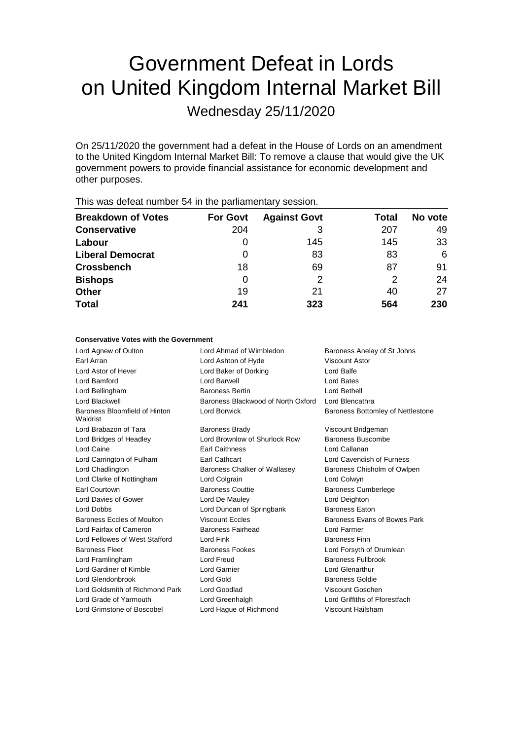# Government Defeat in Lords on United Kingdom Internal Market Bill

Wednesday 25/11/2020

On 25/11/2020 the government had a defeat in the House of Lords on an amendment to the United Kingdom Internal Market Bill: To remove a clause that would give the UK government powers to provide financial assistance for economic development and other purposes.

| <b>Breakdown of Votes</b> | <b>For Govt</b> | <b>Against Govt</b> | Total | No vote |
|---------------------------|-----------------|---------------------|-------|---------|
| <b>Conservative</b>       | 204             |                     | 207   | 49      |
| Labour                    | 0               | 145                 | 145   | 33      |
| <b>Liberal Democrat</b>   | 0               | 83                  | 83    | 6       |
| <b>Crossbench</b>         | 18              | 69                  | 87    | 91      |
| <b>Bishops</b>            | 0               | 2                   | 2     | 24      |
| <b>Other</b>              | 19              | 21                  | 40    | 27      |
| <b>Total</b>              | 241             | 323                 | 564   | 230     |
|                           |                 |                     |       |         |

This was defeat number 54 in the parliamentary session.

| <b>Conservative Votes with the Government</b> |
|-----------------------------------------------|
|-----------------------------------------------|

| Lord Agnew of Oulton                      | Lord Ahmad of Wimbledon            | Baroness Anelay of St Johns       |
|-------------------------------------------|------------------------------------|-----------------------------------|
| Earl Arran                                | Lord Ashton of Hyde                | Viscount Astor                    |
| Lord Astor of Hever                       | Lord Baker of Dorking              | Lord Balfe                        |
| Lord Bamford                              | Lord Barwell                       | Lord Bates                        |
| Lord Bellingham                           | <b>Baroness Bertin</b>             | Lord Bethell                      |
| Lord Blackwell                            | Baroness Blackwood of North Oxford | Lord Blencathra                   |
| Baroness Bloomfield of Hinton<br>Waldrist | Lord Borwick                       | Baroness Bottomley of Nettlestone |
| Lord Brabazon of Tara                     | <b>Baroness Brady</b>              | Viscount Bridgeman                |
| Lord Bridges of Headley                   | Lord Brownlow of Shurlock Row      | Baroness Buscombe                 |
| Lord Caine                                | <b>Earl Caithness</b>              | Lord Callanan                     |
| Lord Carrington of Fulham                 | <b>Earl Cathcart</b>               | Lord Cavendish of Furness         |
| Lord Chadlington                          | Baroness Chalker of Wallasey       | Baroness Chisholm of Owlpen       |
| Lord Clarke of Nottingham                 | Lord Colgrain                      | Lord Colwyn                       |
| Earl Courtown                             | <b>Baroness Couttie</b>            | <b>Baroness Cumberlege</b>        |
| Lord Davies of Gower                      | Lord De Mauley                     | Lord Deighton                     |
| Lord Dobbs                                | Lord Duncan of Springbank          | <b>Baroness Eaton</b>             |
| Baroness Eccles of Moulton                | <b>Viscount Eccles</b>             | Baroness Evans of Bowes Park      |
| Lord Fairfax of Cameron                   | Baroness Fairhead                  | Lord Farmer                       |
| Lord Fellowes of West Stafford            | Lord Fink                          | <b>Baroness Finn</b>              |
| <b>Baroness Fleet</b>                     | <b>Baroness Fookes</b>             | Lord Forsyth of Drumlean          |
| Lord Framlingham                          | Lord Freud                         | Baroness Fullbrook                |
| Lord Gardiner of Kimble                   | <b>Lord Garnier</b>                | Lord Glenarthur                   |
| Lord Glendonbrook                         | Lord Gold                          | <b>Baroness Goldie</b>            |
| Lord Goldsmith of Richmond Park           | Lord Goodlad                       | Viscount Goschen                  |
| Lord Grade of Yarmouth                    | Lord Greenhalgh                    | Lord Griffiths of Fforestfach     |
| Lord Grimstone of Boscobel                | Lord Hague of Richmond             | Viscount Hailsham                 |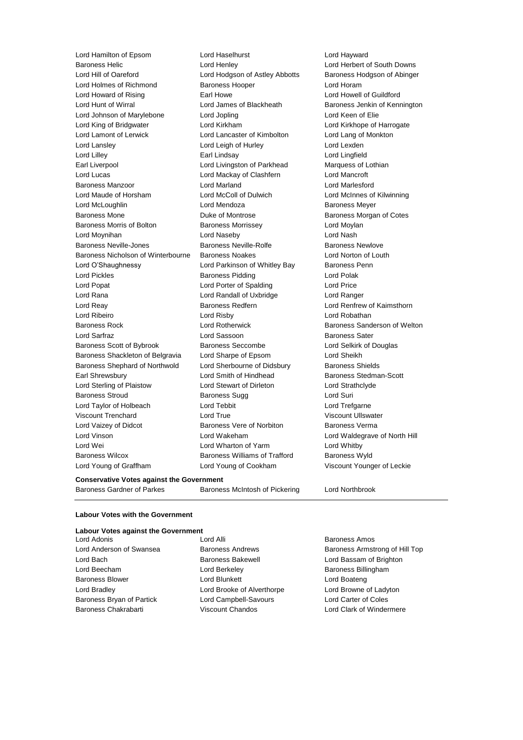Lord Hamilton of Epsom Lord Haselhurst Lord Hayward Baroness Helic Lord Henley Lord Herbert of South Downs Lord Hill of Oareford Lord Hodgson of Astley Abbotts Baroness Hodgson of Abinger Lord Holmes of Richmond Baroness Hooper Correct Lord Horam Lord Howard of Rising **Earl Howe Carl Howe Lord Howell of Guildford** Lord Hunt of Wirral **Lord James of Blackheath** Baroness Jenkin of Kennington Lord Johnson of Marylebone Lord Jopling Lord Cord Cord Keen of Elie Lord King of Bridgwater **Lord Kirkham Lord Kirkham Lord Kirkhope of Harrogate** Lord Lamont of Lerwick Lord Lancaster of Kimbolton Lord Lang of Monkton Lord Lansley Lord Leigh of Hurley Lord Lexden Lord Lilley Earl Lindsay Lord Lingfield Earl Liverpool **Lord Livingston of Parkhead** Marquess of Lothian Lord Lucas Lord Mackay of Clashfern Lord Mancroft Baroness Manzoor Lord Marland Lord Marlesford Lord Maude of Horsham Lord McColl of Dulwich Lord McInnes of Kilwinning Lord McLoughlin Lord Mendoza Baroness Meyer Baroness Mone Duke of Montrose Baroness Morgan of Cotes Baroness Morris of Bolton Baroness Morrissey **Baroness Morrissey** Lord Moylan Lord Moynihan Lord Naseby Lord Nash Baroness Neville-Jones **Baroness Neville-Rolfe** Baroness Newlove Baroness Nicholson of Winterbourne Baroness Noakes Lord Norton of Louth Lord O'Shaughnessy **Lord Parkinson of Whitley Bay** Baroness Penn Lord Pickles Baroness Pidding Lord Polak Lord Popat Lord Porter of Spalding Lord Price Lord Rana Lord Randall of Uxbridge Lord Ranger Lord Reay **Baroness Redfern Baroness Redfern Lord Renfrew of Kaimsthorn** Lord Ribeiro Lord Risby Lord Robathan Baroness Rock Lord Rotherwick Baroness Sanderson of Welton Lord Sarfraz **Lord Sassoon** Christene Baroness Sater Baroness Scott of Bybrook Baroness Seccombe Lord Selkirk of Douglas Baroness Shackleton of Belgravia Lord Sharpe of Epsom Lord Sheikh Baroness Shephard of Northwold Lord Sherbourne of Didsbury Baroness Shields Earl Shrewsbury **Example 20** Lord Smith of Hindhead Baroness Stedman-Scott Lord Sterling of Plaistow Lord Stewart of Dirleton Lord Strathclyde Baroness Stroud Baroness Sugg Lord Suri Lord Taylor of Holbeach Lord Tebbit Lord Trefgarne Viscount Trenchard Lord True Viscount Ullswater Lord Vaizey of Didcot **Baroness Vere of Norbiton** Baroness Verma Lord Vinson Lord Wakeham Lord Waldegrave of North Hill Lord Wei **Lord Wharton of Yarm** Muslem Lord Whitby Baroness Wilcox Baroness Williams of Trafford Baroness Wyld Lord Young of Graffham Lord Young of Cookham Viscount Younger of Leckie

#### **Conservative Votes against the Government**

Baroness Gardner of Parkes Baroness McIntosh of Pickering Lord Northbrook

### **Labour Votes with the Government**

| <b>Labour Votes against the Government</b> |                            |                                |
|--------------------------------------------|----------------------------|--------------------------------|
| Lord Adonis                                | Lord Alli                  | <b>Baroness Amos</b>           |
| Lord Anderson of Swansea                   | <b>Baroness Andrews</b>    | Baroness Armstrong of Hill Top |
| Lord Bach                                  | <b>Baroness Bakewell</b>   | Lord Bassam of Brighton        |
| Lord Beecham                               | Lord Berkeley              | <b>Baroness Billingham</b>     |
| <b>Baroness Blower</b>                     | Lord Blunkett              | Lord Boateng                   |
| Lord Bradley                               | Lord Brooke of Alverthorpe | Lord Browne of Ladyton         |
| Baroness Bryan of Partick                  | Lord Campbell-Savours      | Lord Carter of Coles           |
| Baroness Chakrabarti                       | <b>Viscount Chandos</b>    | Lord Clark of Windermere       |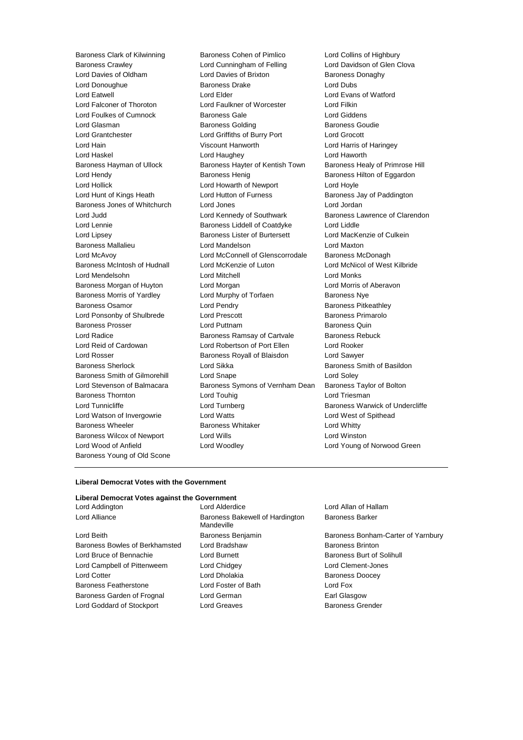Lord Wood of Anfield Lord Woodley Lord Young of Norwood Green Baroness Young of Old Scone

Baroness Clark of Kilwinning Baroness Cohen of Pimlico Lord Collins of Highbury Baroness Crawley Lord Cunningham of Felling Lord Davidson of Glen Clova Lord Davies of Oldham Lord Davies of Brixton Baroness Donaghy Lord Donoughue Baroness Drake Lord Dubs Lord Eatwell Lord Elder Lord Evans of Watford Lord Falconer of Thoroton Lord Faulkner of Worcester Lord Filkin Lord Foulkes of Cumnock Baroness Gale Lord Giddens Lord Glasman **Baroness Golding** Baroness Goudie Lord Grantchester Lord Griffiths of Burry Port Lord Grocott Lord Hain Viscount Hanworth Lord Harris of Haringey Lord Haskel Lord Haughey Lord Haworth Baroness Hayman of Ullock Baroness Hayter of Kentish Town Baroness Healy of Primrose Hill Lord Hendy **Baroness Henig** Baroness Henig Baroness Hilton of Eggardon Lord Hollick Lord Howarth of Newport Lord Hoyle Lord Hunt of Kings Heath Lord Hutton of Furness Baroness Jay of Paddington Baroness Jones of Whitchurch Lord Jones Lord Jordan Lord Judd Lord Kennedy of Southwark Baroness Lawrence of Clarendon Lord Lennie Baroness Liddell of Coatdyke Lord Liddle Lord Lipsey Baroness Lister of Burtersett Lord MacKenzie of Culkein Baroness Mallalieu Lord Mandelson Lord Maxton Lord McAvoy Lord McConnell of Glenscorrodale Baroness McDonagh Baroness McIntosh of Hudnall Lord McKenzie of Luton Lord McNicol of West Kilbride Lord Mendelsohn Lord Mitchell Lord Monks Baroness Morgan of Huyton Lord Morgan Lord Morris of Aberavon Baroness Morris of Yardley **Lord Murphy of Torfaen** Baroness Nye Baroness Osamor Lord Pendry Baroness Pitkeathley Lord Ponsonby of Shulbrede Lord Prescott Baroness Primarolo Baroness Prosser **Baroness Prosser** Lord Puttnam **Baroness Quin** Lord Radice **Baroness Ramsay of Cartvale** Baroness Rebuck Lord Reid of Cardowan Lord Robertson of Port Ellen Lord Rooker Lord Rosser Baroness Royall of Blaisdon Lord Sawyer Baroness Sherlock **Lord Sikka** Baroness Smith of Basildon Baroness Smith of Gilmorehill Lord Snape Lord Soley Lord Stevenson of Balmacara Baroness Symons of Vernham Dean Baroness Taylor of Bolton Baroness Thornton **Lord Touhig** Lord Touhig Lord Triesman Lord Tunnicliffe Lord Turnberg Baroness Warwick of Undercliffe Lord Watson of Invergowrie Lord Watts Lord West of Spithead Baroness Wheeler **Baroness Whitaker** Lord Whitty Baroness Wilcox of Newport Lord Wills Lord Winston

#### **Liberal Democrat Votes with the Government**

## **Liberal Democrat Votes against the Government**

Lord Beith Baroness Benjamin Baroness Bonham-Carter of Yarnbury Baroness Bowles of Berkhamsted Lord Bradshaw Baroness Brinton Lord Bruce of Bennachie **Lord Burnett** Lord Burnett Baroness Burt of Solihull Lord Campbell of Pittenweem Lord Chidgey Lord Clement-Jones Lord Cotter **Lord Dholakia Lord Dholakia** Baroness Doocey Baroness Featherstone Lord Foster of Bath Lord Fox Baroness Garden of Frognal Lord German Earl Glasgow Lord Goddard of Stockport Lord Greaves **Baroness Grender** Baroness Grender

Lord Addington Lord Alderdice Lord Allan of Hallam Lord Alliance **Baroness Bakewell of Hardington** Mandeville

Baroness Barker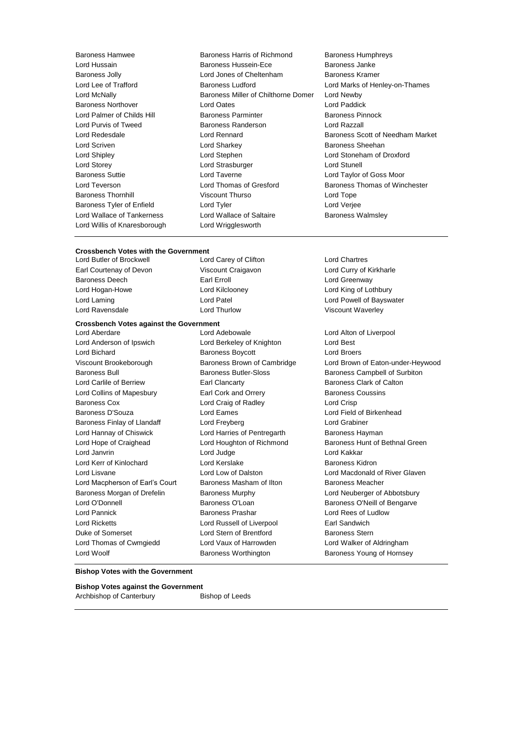Lord Willis of Knaresborough Lord Wrigglesworth

Baroness Hamwee Baroness Harris of Richmond Baroness Humphreys Lord Hussain Baroness Hussein-Ece Baroness Janke Baroness Jolly Lord Jones of Cheltenham Baroness Kramer Lord Lee of Trafford **Baroness Ludford** Lord Marks of Henley-on-Thames Lord McNally Baroness Miller of Chilthorne Domer Lord Newby Baroness Northover Lord Oates Lord Paddick Lord Palmer of Childs Hill Baroness Parminter Baroness Pinnock Lord Purvis of Tweed Baroness Randerson Lord Razzall Lord Scriven **Lord Sharkey Lord Sharkey Baroness Sheehan** Lord Shipley Lord Stephen Lord Stoneham of Droxford Lord Storey **Lord Strasburger** Lord Strasburger **Lord Strasburger** Lord Stunell Baroness Suttie Lord Taverne Lord Taylor of Goss Moor Lord Teverson Lord Thomas of Gresford Baroness Thomas of Winchester Baroness Thornhill Viscount Thurso Lord Tope Baroness Tyler of Enfield Lord Tyler Lord Verjee Lord Wallace of Tankerness Lord Wallace of Saltaire Baroness Walmsley

Lord Redesdale Lord Rennard Baroness Scott of Needham Market

# **Crossbench Votes with the Government**<br>Lord Butler of Brockwell Lore

Earl Courtenay of Devon Viscount Craigavon Lord Curry of Kirkharle Baroness Deech **Earl Erroll** Earl Erroll Earl Executive Controll Lord Greenway Lord Hogan-Howe Lord Kilclooney Lord King of Lothbury Lord Laming **Lord Patel Lord Patel Communist Communist Lord Powell of Bayswater** Lord Ravensdale Lord Thurlow Viscount Waverley

**Crossbench Votes against the Government**

Lord Anderson of Ipswich Lord Berkeley of Knighton Lord Best Lord Bichard **Baroness Boycott** Lord Broers Lord Broers Baroness Bull Baroness Butler-Sloss Baroness Campbell of Surbiton Lord Carlile of Berriew **Earl Clancarty** Earl Clancarty **Baroness Clark of Calton** Lord Collins of Mapesbury **Earl Cork and Orrery Collins Collins Contains Coussins** Baroness Cox **Lord Craig of Radley Lord Crisp** Baroness D'Souza Lord Eames Lord Field of Birkenhead Baroness Finlay of Llandaff Lord Freyberg Lord Grabiner Lord Hannay of Chiswick **Lord Harries of Pentregarth** Baroness Hayman Lord Janvrin Lord Judge Lord Kakkar Lord Kerr of Kinlochard Lord Kerslake Baroness Kidron Lord Macpherson of Earl's Court Baroness Masham of Ilton Baroness Meacher Baroness Morgan of Drefelin Baroness Murphy Baroness Murphy Lord Neuberger of Abbotsbury Lord O'Donnell **Baroness O'Loan** Baroness O'Loan Baroness O'Neill of Bengarve Lord Pannick Baroness Prashar Lord Rees of Ludlow Lord Ricketts Lord Russell of Liverpool Earl Sandwich Duke of Somerset **Lord Stern of Brentford** Baroness Stern Lord Thomas of Cwmgiedd Lord Vaux of Harrowden Lord Walker of Aldringham

Lord Aberdare Lord Adebowale Lord Alton of Liverpool

Lord Carey of Clifton Lord Chartres

Viscount Brookeborough Baroness Brown of Cambridge Lord Brown of Eaton-under-Heywood Lord Hope of Craighead Lord Houghton of Richmond Baroness Hunt of Bethnal Green Lord Lisvane Lord Low of Dalston Lord Macdonald of River Glaven Lord Woolf Baroness Worthington Baroness Young of Hornsey

#### **Bishop Votes with the Government**

**Bishop Votes against the Government**

Archbishop of Canterbury Bishop of Leeds